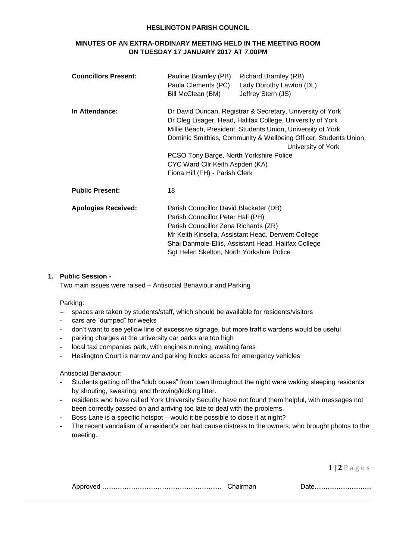### **HESLINGTON PARISH COUNCIL**

# **MINUTES OF AN EXTRA-ORDINARY MEETING HELD IN THE MEETING ROOM ON TUESDAY 17 JANUARY 2017 AT 7.00PM**

| <b>Councillors Present:</b> | <b>Richard Bramley (RB)</b><br>Pauline Bramley (PB)<br>Paula Clements (PC)<br>Lady Dorothy Lawton (DL)<br>Bill McClean (BM)<br>Jeffrey Stern (JS)                                                                                                                                                                                                                                                 |
|-----------------------------|---------------------------------------------------------------------------------------------------------------------------------------------------------------------------------------------------------------------------------------------------------------------------------------------------------------------------------------------------------------------------------------------------|
| In Attendance:              | Dr David Duncan, Registrar & Secretary, University of York<br>Dr Oleg Lisager, Head, Halifax College, University of York<br>Millie Beach, President, Students Union, University of York<br>Dominic Smithies, Community & Wellbeing Officer, Students Union,<br>University of York<br>PCSO Tony Barge, North Yorkshire Police<br>CYC Ward Cllr Keith Aspden (KA)<br>Fiona Hill (FH) - Parish Clerk |
| <b>Public Present:</b>      | 18                                                                                                                                                                                                                                                                                                                                                                                                |
| <b>Apologies Received:</b>  | Parish Councillor David Blacketer (DB)<br>Parish Councillor Peter Hall (PH)<br>Parish Councillor Zena Richards (ZR)<br>Mr Keith Kinsella, Assistant Head, Derwent College<br>Shai Danmole-Ellis, Assistant Head, Halifax College<br>Sgt Helen Skelton, North Yorkshire Police                                                                                                                     |

## **1. Public Session -**

Two main issues were raised – Antisocial Behaviour and Parking

Parking:

- spaces are taken by students/staff, which should be available for residents/visitors
- cars are "dumped" for weeks
- don't want to see yellow line of excessive signage, but more traffic wardens would be useful
- parking charges at the university car parks are too high
- local taxi companies park, with engines running, awaiting fares
- Heslington Court is narrow and parking blocks access for emergency vehicles

#### Antisocial Behaviour:

- Students getting off the "club buses" from town throughout the night were waking sleeping residents by shouting, swearing, and throwing/kicking litter.
- residents who have called York University Security have not found them helpful, with messages not been correctly passed on and arriving too late to deal with the problems.
- Boss Lane is a specific hotspot would it be possible to close it at night?
- The recent vandalism of a resident's car had cause distress to the owners, who brought photos to the meeting.

**1 | 2** P a g e s